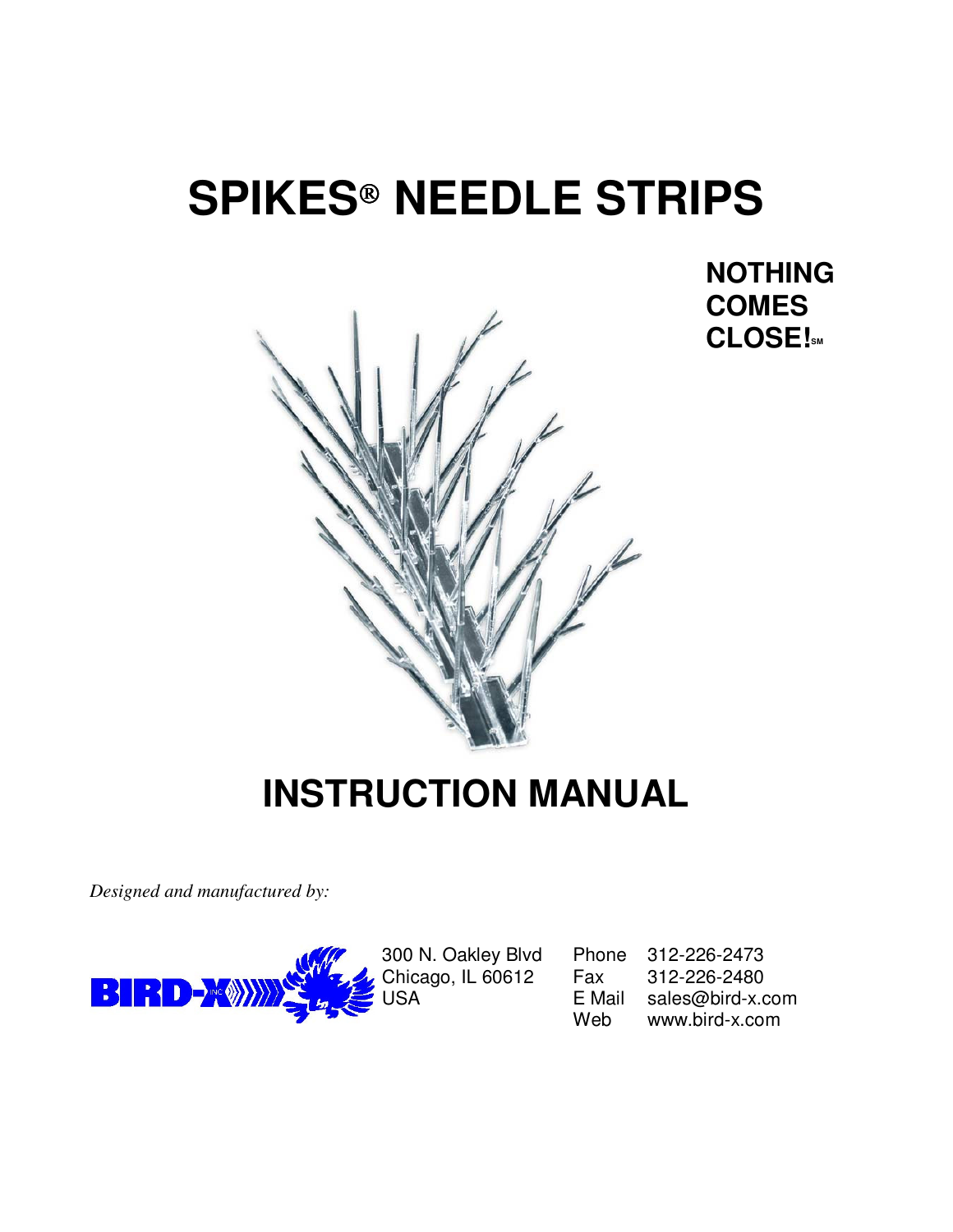# **SPIKES NEEDLE STRIPS**

 **NOTHING COMES CLOSE!SM**



## **INSTRUCTION MANUAL**

*Designed and manufactured by:*



300 N. Oakley Blvd Phone 312-226-2473 Chicago, IL 60612 Fax 312-226-2480<br>USA E Mail sales@bird-x.c sales@bird-x.com Web www.bird-x.com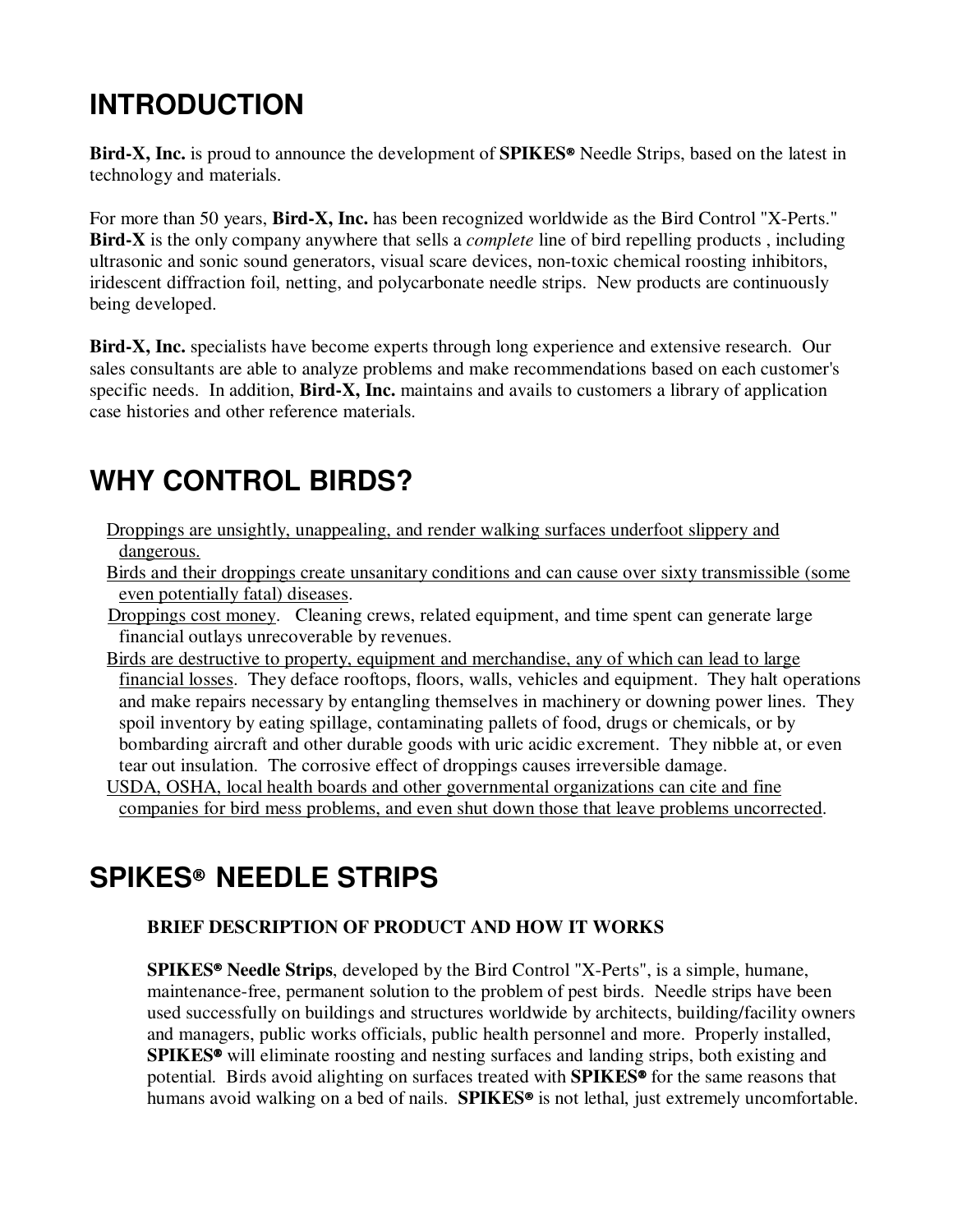### **INTRODUCTION**

Bird-X, Inc. is proud to announce the development of **SPIKES<sup>®</sup>** Needle Strips, based on the latest in technology and materials.

For more than 50 years, **Bird-X, Inc.** has been recognized worldwide as the Bird Control "X-Perts." **Bird-X** is the only company anywhere that sells a *complete* line of bird repelling products , including ultrasonic and sonic sound generators, visual scare devices, non-toxic chemical roosting inhibitors, iridescent diffraction foil, netting, and polycarbonate needle strips. New products are continuously being developed.

**Bird-X, Inc.** specialists have become experts through long experience and extensive research. Our sales consultants are able to analyze problems and make recommendations based on each customer's specific needs. In addition, **Bird-X, Inc.** maintains and avails to customers a library of application case histories and other reference materials.

### **WHY CONTROL BIRDS?**

- Droppings are unsightly, unappealing, and render walking surfaces underfoot slippery and dangerous.
- Birds and their droppings create unsanitary conditions and can cause over sixty transmissible (some even potentially fatal) diseases.
- **Droppings cost money.** Cleaning crews, related equipment, and time spent can generate large financial outlays unrecoverable by revenues.
- Birds are destructive to property, equipment and merchandise, any of which can lead to large financial losses. They deface rooftops, floors, walls, vehicles and equipment. They halt operations and make repairs necessary by entangling themselves in machinery or downing power lines. They spoil inventory by eating spillage, contaminating pallets of food, drugs or chemicals, or by bombarding aircraft and other durable goods with uric acidic excrement. They nibble at, or even tear out insulation. The corrosive effect of droppings causes irreversible damage.
- USDA, OSHA, local health boards and other governmental organizations can cite and fine companies for bird mess problems, and even shut down those that leave problems uncorrected.

### **SPIKES NEEDLE STRIPS**

#### **BRIEF DESCRIPTION OF PRODUCT AND HOW IT WORKS**

**SPIKES<sup>®</sup> Needle Strips**, developed by the Bird Control "X-Perts", is a simple, humane, maintenance-free, permanent solution to the problem of pest birds. Needle strips have been used successfully on buildings and structures worldwide by architects, building/facility owners and managers, public works officials, public health personnel and more. Properly installed, **SPIKES<sup>®</sup>** will eliminate roosting and nesting surfaces and landing strips, both existing and potential. Birds avoid alighting on surfaces treated with **SPIKES<sup>®</sup>** for the same reasons that humans avoid walking on a bed of nails. **SPIKES<sup>®</sup>** is not lethal, just extremely uncomfortable.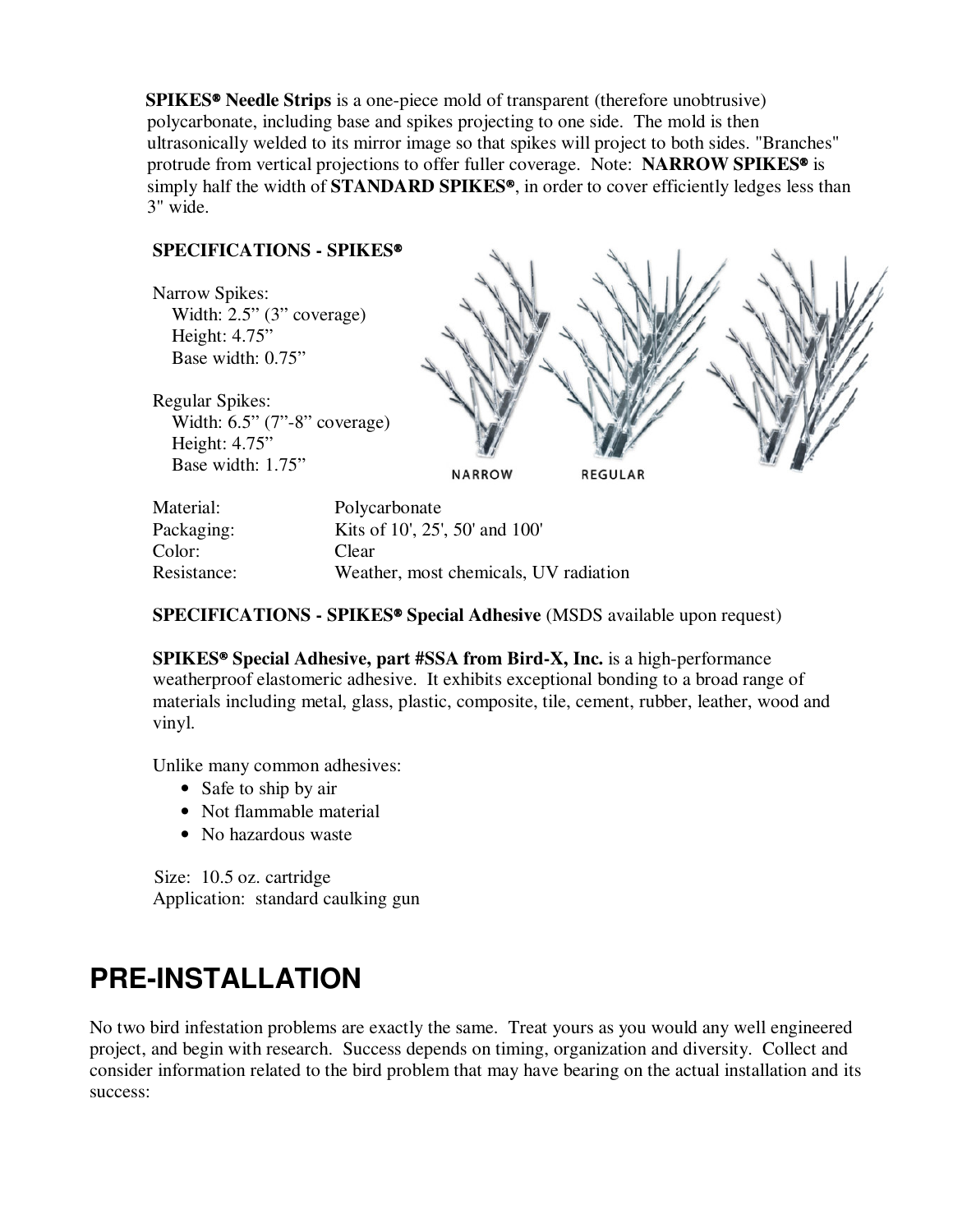**SPIKES Needle Strips** is a one-piece mold of transparent (therefore unobtrusive) polycarbonate, including base and spikes projecting to one side. The mold is then ultrasonically welded to its mirror image so that spikes will project to both sides. "Branches" protrude from vertical projections to offer fuller coverage. Note: **NARROW SPIKES** is simply half the width of **STANDARD SPIKES®**, in order to cover efficiently ledges less than 3" wide.

#### **SPECIFICATIONS - SPIKES**

Narrow Spikes: Width: 2.5" (3" coverage) Height: 4.75" Base width: 0.75"

Regular Spikes: Width: 6.5" (7"-8" coverage) Height: 4.75" Base width: 1.75"

**REGULAR** 

Material: Polycarbonate Packaging: Kits of 10', 25', 50' and 100' Color: Clear Resistance: Weather, most chemicals, UV radiation

#### **SPECIFICATIONS - SPIKES<sup>®</sup> Special Adhesive** (MSDS available upon request)

**NARROW** 

**SPIKES Special Adhesive, part #SSA from Bird-X, Inc.** is a high-performance weatherproof elastomeric adhesive. It exhibits exceptional bonding to a broad range of materials including metal, glass, plastic, composite, tile, cement, rubber, leather, wood and vinyl.

Unlike many common adhesives:

- Safe to ship by air
- Not flammable material
- No hazardous waste

 Size: 10.5 oz. cartridge Application: standard caulking gun

#### **PRE-INSTALLATION**

No two bird infestation problems are exactly the same. Treat yours as you would any well engineered project, and begin with research. Success depends on timing, organization and diversity. Collect and consider information related to the bird problem that may have bearing on the actual installation and its success: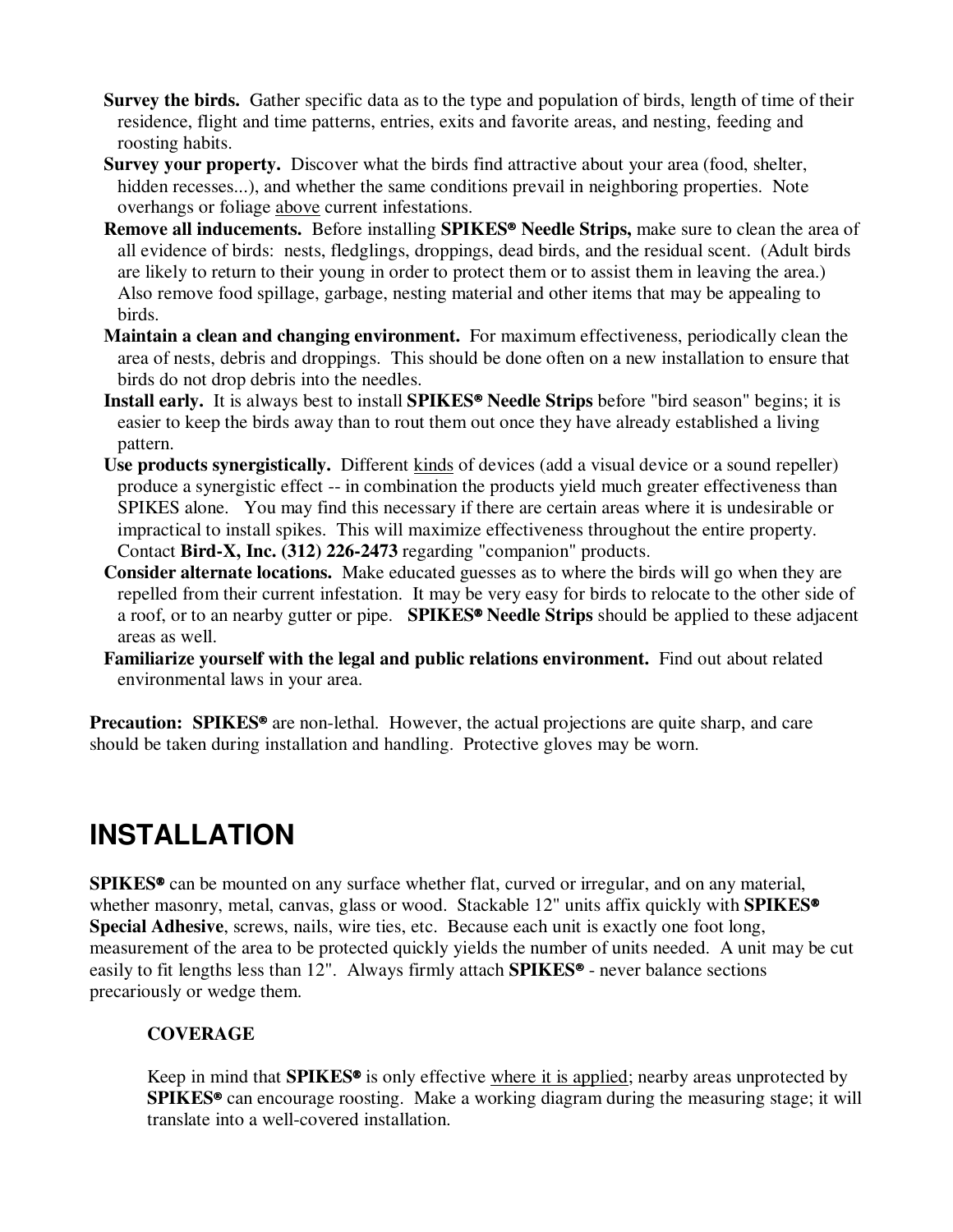- **Survey the birds.** Gather specific data as to the type and population of birds, length of time of their residence, flight and time patterns, entries, exits and favorite areas, and nesting, feeding and roosting habits.
- **Survey your property.** Discover what the birds find attractive about your area (food, shelter, hidden recesses...), and whether the same conditions prevail in neighboring properties. Note overhangs or foliage above current infestations.
- Remove all inducements. Before installing SPIKES<sup>®</sup> Needle Strips, make sure to clean the area of all evidence of birds: nests, fledglings, droppings, dead birds, and the residual scent. (Adult birds are likely to return to their young in order to protect them or to assist them in leaving the area.) Also remove food spillage, garbage, nesting material and other items that may be appealing to birds.
- **Maintain a clean and changing environment.** For maximum effectiveness, periodically clean the area of nests, debris and droppings. This should be done often on a new installation to ensure that birds do not drop debris into the needles.
- **Install early.** It is always best to install **SPIKES Needle Strips** before "bird season" begins; it is easier to keep the birds away than to rout them out once they have already established a living pattern.
- **Use products synergistically.** Different kinds of devices (add a visual device or a sound repeller) produce a synergistic effect -- in combination the products yield much greater effectiveness than SPIKES alone. You may find this necessary if there are certain areas where it is undesirable or impractical to install spikes. This will maximize effectiveness throughout the entire property. Contact **Bird-X, Inc. (312) 226-2473** regarding "companion" products.
- **Consider alternate locations.** Make educated guesses as to where the birds will go when they are repelled from their current infestation. It may be very easy for birds to relocate to the other side of a roof, or to an nearby gutter or pipe. **SPIKES Needle Strips** should be applied to these adjacent areas as well.
- **Familiarize yourself with the legal and public relations environment.** Find out about related environmental laws in your area.

**Precaution: SPIKES<sup>®</sup>** are non-lethal. However, the actual projections are quite sharp, and care should be taken during installation and handling. Protective gloves may be worn.

### **INSTALLATION**

**SPIKES<sup>®</sup>** can be mounted on any surface whether flat, curved or irregular, and on any material, whether masonry, metal, canvas, glass or wood. Stackable 12" units affix quickly with **SPIKES Special Adhesive**, screws, nails, wire ties, etc. Because each unit is exactly one foot long, measurement of the area to be protected quickly yields the number of units needed. A unit may be cut easily to fit lengths less than 12". Always firmly attach **SPIKES<sup>®</sup>** - never balance sections precariously or wedge them.

#### **COVERAGE**

Keep in mind that **SPIKES<sup>®</sup>** is only effective where it is applied; nearby areas unprotected by **SPIKES<sup>®</sup>** can encourage roosting. Make a working diagram during the measuring stage; it will translate into a well-covered installation.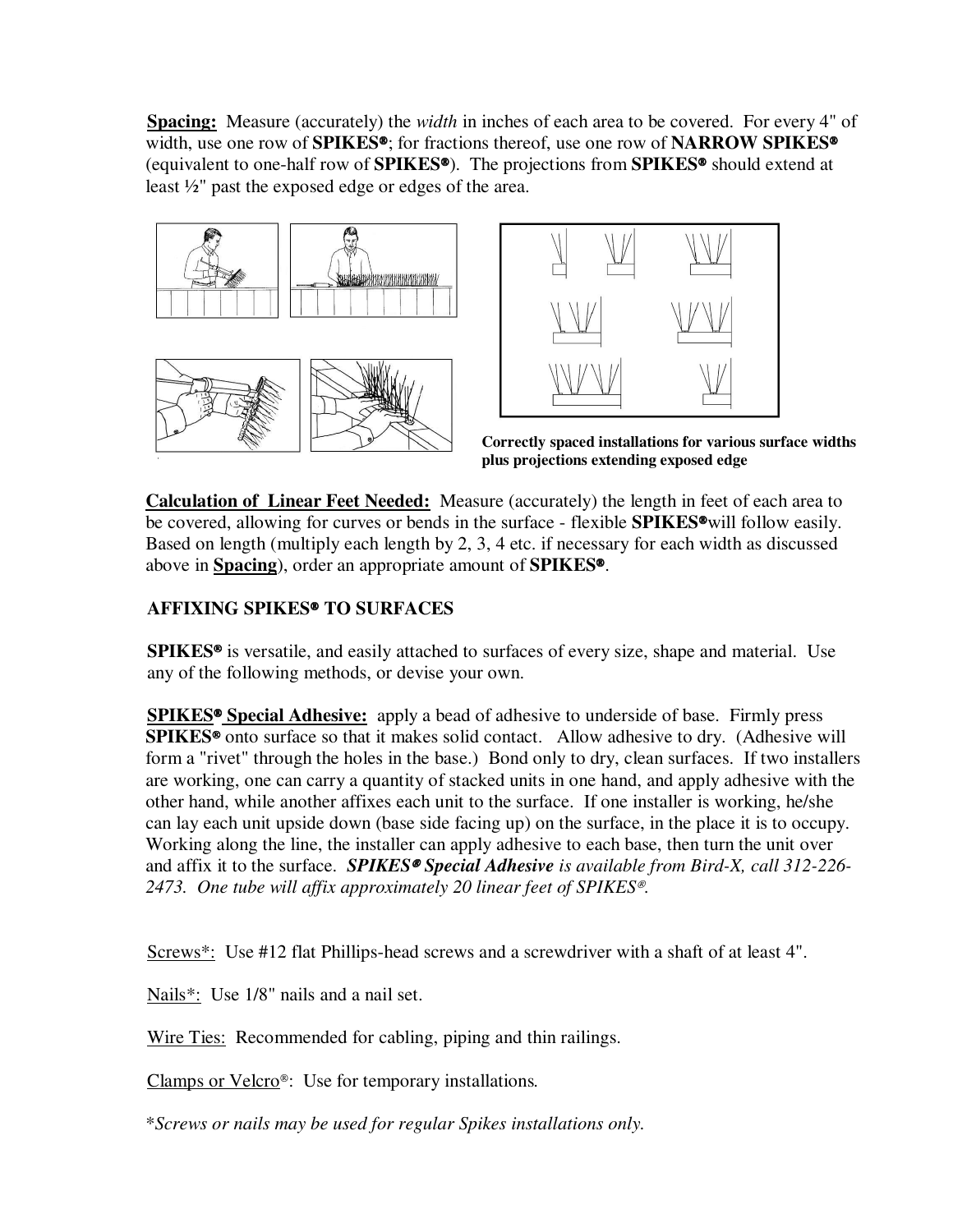**Spacing:**Measure (accurately) the *width* in inches of each area to be covered. For every 4" of width, use one row of **SPIKES**<sup>®</sup>; for fractions thereof, use one row of **NARROW SPIKES**<sup>®</sup> (equivalent to one-half row of **SPIKES**). The projections from **SPIKES** should extend at least ½" past the exposed edge or edges of the area.





 **Correctly spaced installations for various surface widths plus projections extending exposed edge**

**Calculation of Linear Feet Needed:** Measure (accurately) the length in feet of each area to be covered, allowing for curves or bends in the surface - flexible **SPIKES**<sup>®</sup>will follow easily. Based on length (multiply each length by 2, 3, 4 etc. if necessary for each width as discussed above in **Spacing**), order an appropriate amount of **SPIKES**.

#### **AFFIXING SPIKES TO SURFACES**

**SPIKES**<sup> $\bullet$ </sup> is versatile, and easily attached to surfaces of every size, shape and material. Use any of the following methods, or devise your own.

**SPIKES<sup>®</sup> Special Adhesive:** apply a bead of adhesive to underside of base. Firmly press **SPIKES<sup>®</sup>** onto surface so that it makes solid contact. Allow adhesive to dry. (Adhesive will form a "rivet" through the holes in the base.) Bond only to dry, clean surfaces. If two installers are working, one can carry a quantity of stacked units in one hand, and apply adhesive with the other hand, while another affixes each unit to the surface. If one installer is working, he/she can lay each unit upside down (base side facing up) on the surface, in the place it is to occupy. Working along the line, the installer can apply adhesive to each base, then turn the unit over and affix it to the surface. **SPIKES<sup>®</sup> Special Adhesive** is available from Bird-X, call 312-226-*2473. One tube will affix approximately 20 linear feet of SPIKES.*

Screws\*: Use #12 flat Phillips-head screws and a screwdriver with a shaft of at least 4".

Nails\*: Use 1/8" nails and a nail set.

Wire Ties: Recommended for cabling, piping and thin railings.

Clamps or Velcro<sup>®</sup>: Use for temporary installations.

\**Screws or nails may be used for regular Spikes installations only.*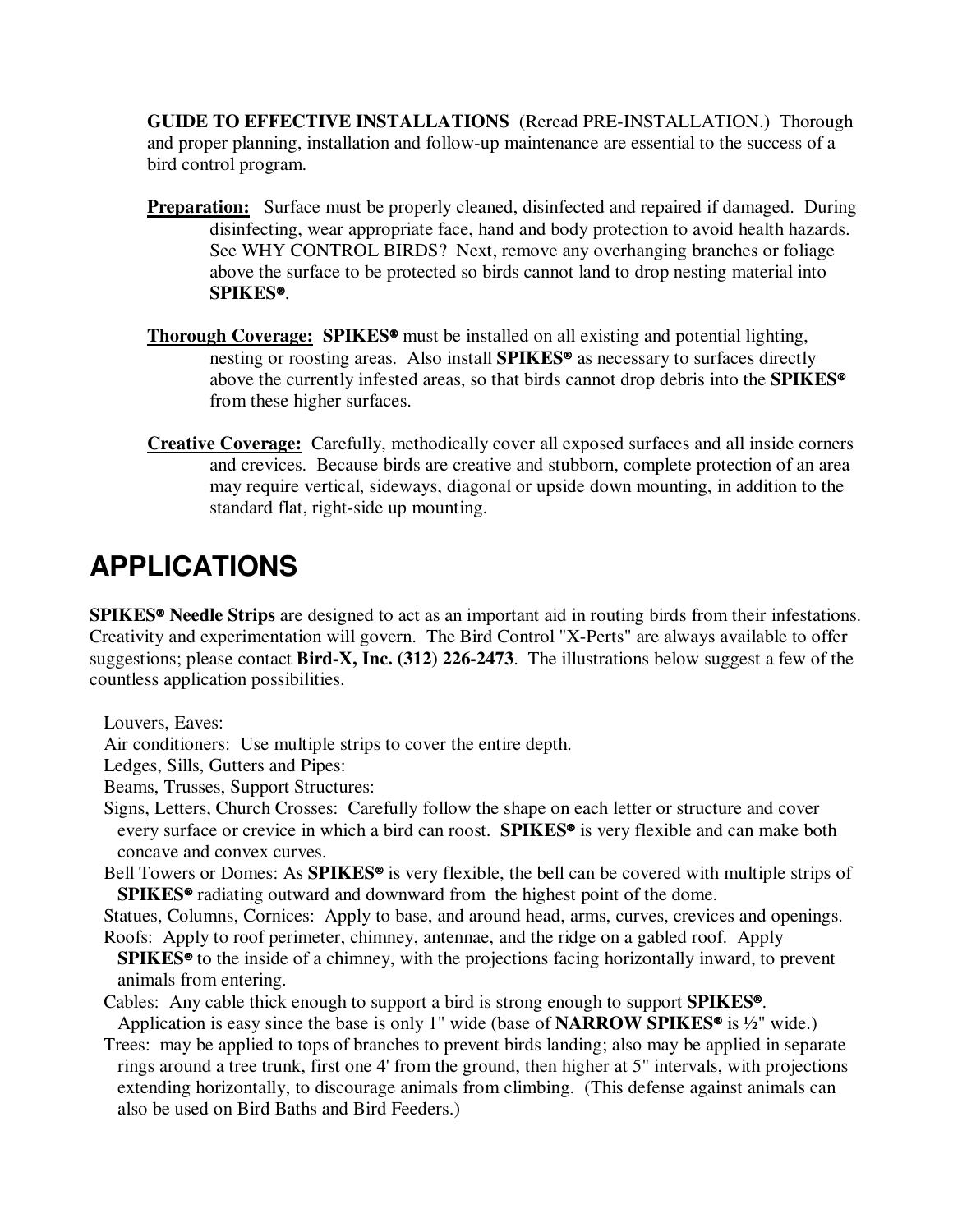**GUIDE TO EFFECTIVE INSTALLATIONS**(Reread PRE-INSTALLATION.) Thorough and proper planning, installation and follow-up maintenance are essential to the success of a bird control program.

- **Preparation:** Surface must be properly cleaned, disinfected and repaired if damaged. During disinfecting, wear appropriate face, hand and body protection to avoid health hazards. See WHY CONTROL BIRDS? Next, remove any overhanging branches or foliage above the surface to be protected so birds cannot land to drop nesting material into **SPIKES**.
- **Thorough Coverage: SPIKES<sup>®</sup>** must be installed on all existing and potential lighting, nesting or roosting areas. Also install **SPIKES<sup>®</sup>** as necessary to surfaces directly above the currently infested areas, so that birds cannot drop debris into the **SPIKES** from these higher surfaces.
- **Creative Coverage:** Carefully, methodically cover all exposed surfaces and all inside corners and crevices. Because birds are creative and stubborn, complete protection of an area may require vertical, sideways, diagonal or upside down mounting, in addition to the standard flat, right-side up mounting.

### **APPLICATIONS**

**SPIKES Needle Strips** are designed to act as an important aid in routing birds from their infestations. Creativity and experimentation will govern. The Bird Control "X-Perts" are always available to offer suggestions; please contact **Bird-X, Inc. (312) 226-2473**. The illustrations below suggest a few of the countless application possibilities.

Louvers, Eaves:

Air conditioners: Use multiple strips to cover the entire depth.

Ledges, Sills, Gutters and Pipes:

Beams, Trusses, Support Structures:

- Signs, Letters, Church Crosses: Carefully follow the shape on each letter or structure and cover every surface or crevice in which a bird can roost. **SPIKES<sup>®</sup>** is very flexible and can make both concave and convex curves.
- Bell Towers or Domes: As **SPIKES<sup>®</sup>** is very flexible, the bell can be covered with multiple strips of **SPIKES<sup>®</sup>** radiating outward and downward from the highest point of the dome.

Statues, Columns, Cornices: Apply to base, and around head, arms, curves, crevices and openings.

- Roofs: Apply to roof perimeter, chimney, antennae, and the ridge on a gabled roof. Apply **SPIKES<sup>®</sup>** to the inside of a chimney, with the projections facing horizontally inward, to prevent animals from entering.
- Cables: Any cable thick enough to support a bird is strong enough to support **SPIKES**. Application is easy since the base is only 1" wide (base of **NARROW SPIKES<sup>®</sup>** is ½" wide.)
- Trees: may be applied to tops of branches to prevent birds landing; also may be applied in separate rings around a tree trunk, first one 4' from the ground, then higher at 5" intervals, with projections extending horizontally, to discourage animals from climbing. (This defense against animals can also be used on Bird Baths and Bird Feeders.)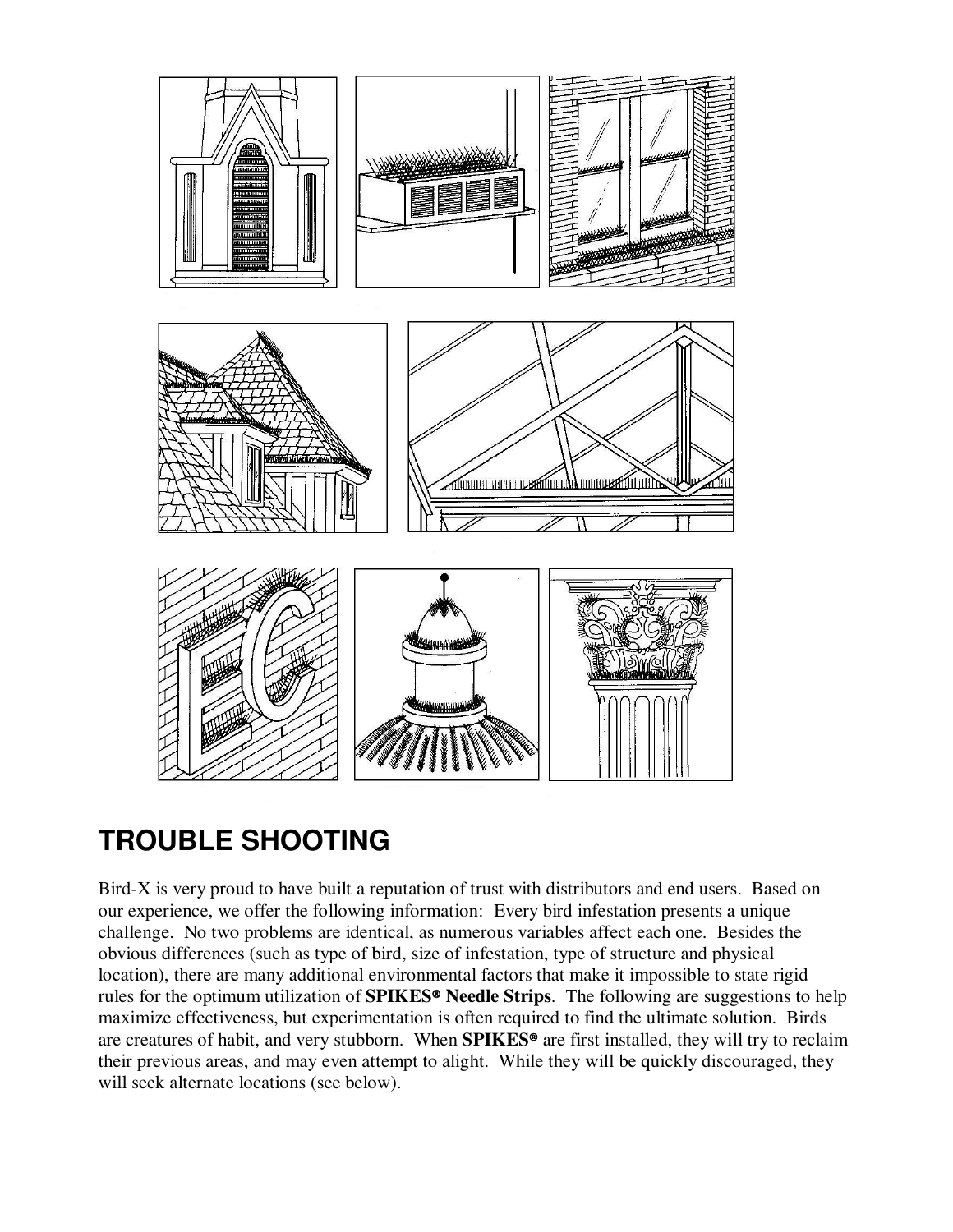

### **TROUBLE SHOOTING**

Bird-X is very proud to have built a reputation of trust with distributors and end users. Based on our experience, we offer the following information: Every bird infestation presents a unique challenge. No two problems are identical, as numerous variables affect each one. Besides the obvious differences (such as type of bird, size of infestation, type of structure and physical location), there are many additional environmental factors that make it impossible to state rigid rules for the optimum utilization of **SPIKES<sup>®</sup> Needle Strips**. The following are suggestions to help maximize effectiveness, but experimentation is often required to find the ultimate solution. Birds are creatures of habit, and very stubborn. When **SPIKES<sup>®</sup>** are first installed, they will try to reclaim their previous areas, and may even attempt to alight. While they will be quickly discouraged, they will seek alternate locations (see below).